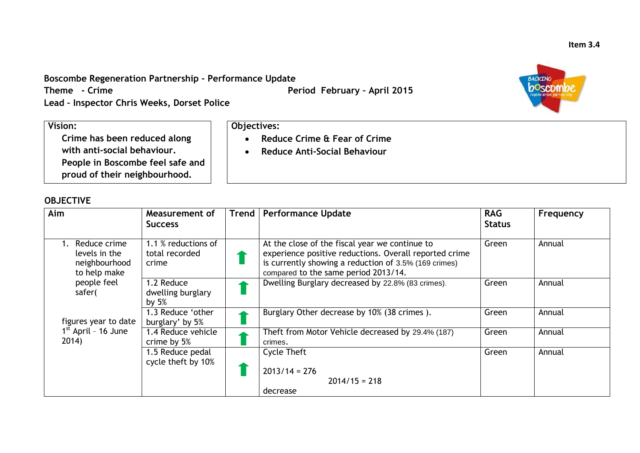## **Boscombe Regeneration Partnership – Performance Update**

**Objectives:**

**Lead – Inspector Chris Weeks, Dorset Police**

## **Vision:**

**Crime has been reduced along with anti-social behaviour. People in Boscombe feel safe and proud of their neighbourhood.**

## **OBJECTIVE**

| Aim                                                            | <b>Measurement of</b><br><b>Success</b>        | Trend | <b>Performance Update</b>                                                                                                                                                                                 | <b>RAG</b><br><b>Status</b> | Frequency |
|----------------------------------------------------------------|------------------------------------------------|-------|-----------------------------------------------------------------------------------------------------------------------------------------------------------------------------------------------------------|-----------------------------|-----------|
| Reduce crime<br>levels in the<br>neighbourhood<br>to help make | 1.1 % reductions of<br>total recorded<br>crime |       | At the close of the fiscal year we continue to<br>experience positive reductions. Overall reported crime<br>is currently showing a reduction of 3.5% (169 crimes)<br>compared to the same period 2013/14. | Green                       | Annual    |
| people feel<br>safer(                                          | 1.2 Reduce<br>dwelling burglary<br>by $5%$     |       | Dwelling Burglary decreased by 22.8% (83 crimes).                                                                                                                                                         | Green                       | Annual    |
| figures year to date                                           | 1.3 Reduce 'other<br>burglary' by 5%           |       | Burglary Other decrease by 10% (38 crimes).                                                                                                                                                               | Green                       | Annual    |
| $1st$ April - 16 June<br>2014)                                 | 1.4 Reduce vehicle<br>crime by 5%              |       | Theft from Motor Vehicle decreased by 29.4% (187)<br>crimes.                                                                                                                                              | Green                       | Annual    |
|                                                                | 1.5 Reduce pedal<br>cycle theft by 10%         |       | <b>Cycle Theft</b><br>$2013/14 = 276$<br>$2014/15 = 218$<br>decrease                                                                                                                                      | Green                       | Annual    |

 **Reduce Crime & Fear of Crime Reduce Anti-Social Behaviour**

**Theme** - Crime **Period February - April 2015** 

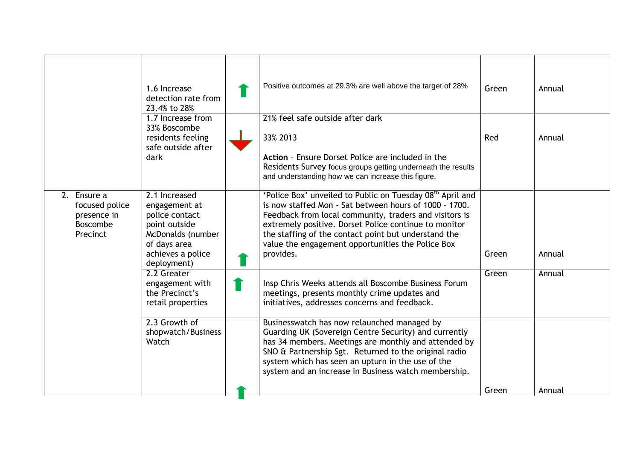|                                                                             | 1.6 Increase<br>detection rate from<br>23.4% to 28%                                                                                        | Positive outcomes at 29.3% are well above the target of 28%                                                                                                                                                                                                                                                                                                                  | Green | Annual |
|-----------------------------------------------------------------------------|--------------------------------------------------------------------------------------------------------------------------------------------|------------------------------------------------------------------------------------------------------------------------------------------------------------------------------------------------------------------------------------------------------------------------------------------------------------------------------------------------------------------------------|-------|--------|
|                                                                             | 1.7 Increase from<br>33% Boscombe<br>residents feeling<br>safe outside after<br>dark                                                       | 21% feel safe outside after dark<br>33% 2013<br>Action - Ensure Dorset Police are included in the<br>Residents Survey focus groups getting underneath the results<br>and understanding how we can increase this figure.                                                                                                                                                      | Red   | Annual |
| 2. Ensure a<br>focused police<br>presence in<br><b>Boscombe</b><br>Precinct | 2.1 Increased<br>engagement at<br>police contact<br>point outside<br>McDonalds (number<br>of days area<br>achieves a police<br>deployment) | 'Police Box' unveiled to Public on Tuesday 08 <sup>th</sup> April and<br>is now staffed Mon - Sat between hours of 1000 - 1700.<br>Feedback from local community, traders and visitors is<br>extremely positive. Dorset Police continue to monitor<br>the staffing of the contact point but understand the<br>value the engagement opportunities the Police Box<br>provides. | Green | Annual |
|                                                                             | 2.2 Greater<br>engagement with<br>the Precinct's<br>retail properties                                                                      | Insp Chris Weeks attends all Boscombe Business Forum<br>meetings, presents monthly crime updates and<br>initiatives, addresses concerns and feedback.                                                                                                                                                                                                                        | Green | Annual |
|                                                                             | 2.3 Growth of<br>shopwatch/Business<br>Watch                                                                                               | Businesswatch has now relaunched managed by<br>Guarding UK (Sovereign Centre Security) and currently<br>has 34 members. Meetings are monthly and attended by<br>SNO & Partnership Sgt. Returned to the original radio<br>system which has seen an upturn in the use of the<br>system and an increase in Business watch membership.                                           |       |        |
|                                                                             |                                                                                                                                            |                                                                                                                                                                                                                                                                                                                                                                              | Green | Annual |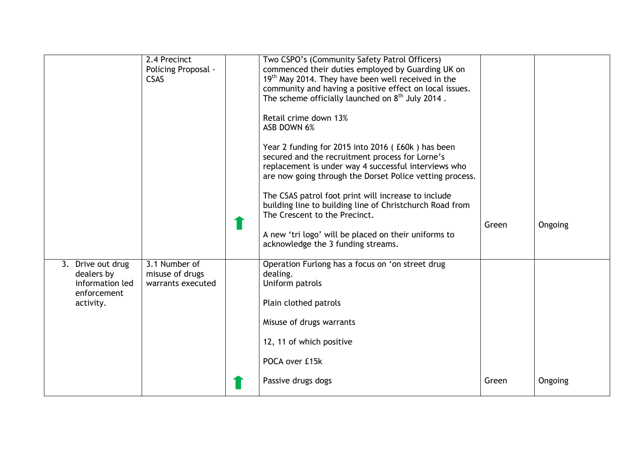|                                                                                | 2.4 Precinct<br>Policing Proposal -<br><b>CSAS</b>    | Two CSPO's (Community Safety Patrol Officers)<br>commenced their duties employed by Guarding UK on<br>19 <sup>th</sup> May 2014. They have been well received in the<br>community and having a positive effect on local issues.<br>The scheme officially launched on 8 <sup>th</sup> July 2014.<br>Retail crime down 13%<br>ASB DOWN 6%<br>Year 2 funding for 2015 into 2016 (£60k) has been<br>secured and the recruitment process for Lorne's<br>replacement is under way 4 successful interviews who |       |         |
|--------------------------------------------------------------------------------|-------------------------------------------------------|---------------------------------------------------------------------------------------------------------------------------------------------------------------------------------------------------------------------------------------------------------------------------------------------------------------------------------------------------------------------------------------------------------------------------------------------------------------------------------------------------------|-------|---------|
|                                                                                |                                                       | are now going through the Dorset Police vetting process.<br>The CSAS patrol foot print will increase to include<br>building line to building line of Christchurch Road from<br>The Crescent to the Precinct.<br>A new 'tri logo' will be placed on their uniforms to<br>acknowledge the 3 funding streams.                                                                                                                                                                                              | Green | Ongoing |
| 3. Drive out drug<br>dealers by<br>information led<br>enforcement<br>activity. | 3.1 Number of<br>misuse of drugs<br>warrants executed | Operation Furlong has a focus on 'on street drug<br>dealing.<br>Uniform patrols<br>Plain clothed patrols<br>Misuse of drugs warrants<br>12, 11 of which positive<br>POCA over £15k<br>Passive drugs dogs                                                                                                                                                                                                                                                                                                | Green | Ongoing |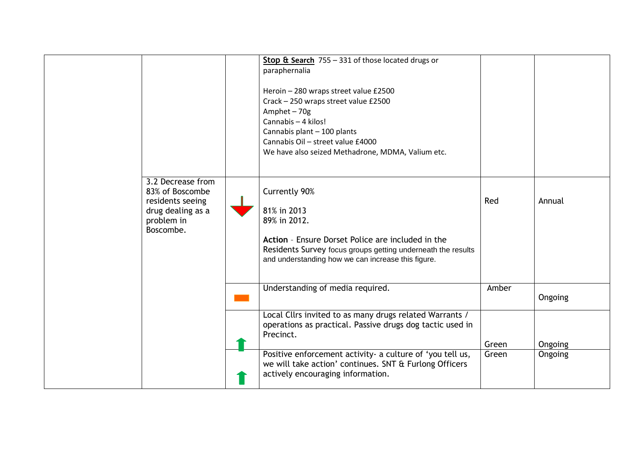|                                                                                                          | Stop & Search 755 - 331 of those located drugs or<br>paraphernalia<br>Heroin - 280 wraps street value £2500<br>Crack - 250 wraps street value £2500<br>Amphet-70g<br>Cannabis - 4 kilos!<br>Cannabis plant - 100 plants<br>Cannabis Oil - street value £4000<br>We have also seized Methadrone, MDMA, Valium etc. |       |                |
|----------------------------------------------------------------------------------------------------------|-------------------------------------------------------------------------------------------------------------------------------------------------------------------------------------------------------------------------------------------------------------------------------------------------------------------|-------|----------------|
| 3.2 Decrease from<br>83% of Boscombe<br>residents seeing<br>drug dealing as a<br>problem in<br>Boscombe. | <b>Currently 90%</b><br>81% in 2013<br>89% in 2012.<br>Action - Ensure Dorset Police are included in the<br>Residents Survey focus groups getting underneath the results<br>and understanding how we can increase this figure.                                                                                    | Red   | Annual         |
|                                                                                                          | Understanding of media required.                                                                                                                                                                                                                                                                                  | Amber | Ongoing        |
|                                                                                                          | Local Cllrs invited to as many drugs related Warrants /<br>operations as practical. Passive drugs dog tactic used in<br>Precinct.                                                                                                                                                                                 | Green | Ongoing        |
|                                                                                                          | Positive enforcement activity- a culture of 'you tell us,<br>we will take action' continues. SNT & Furlong Officers<br>actively encouraging information.                                                                                                                                                          | Green | <b>Ongoing</b> |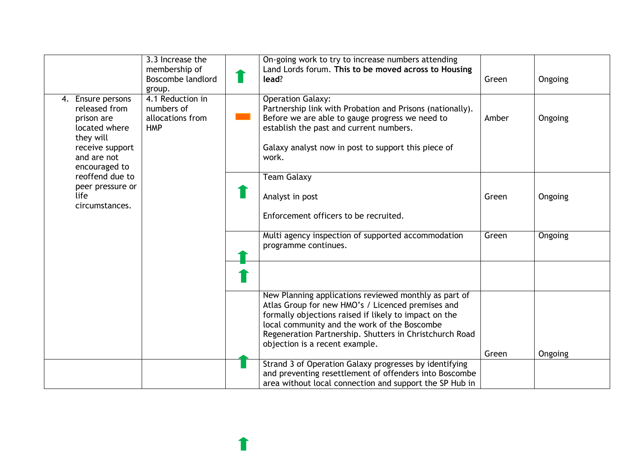|                                                                                                                                                                                                    | 3.3 Increase the                                                 | On-going work to try to increase numbers attending                                                                                                                                                                                                      |       |         |
|----------------------------------------------------------------------------------------------------------------------------------------------------------------------------------------------------|------------------------------------------------------------------|---------------------------------------------------------------------------------------------------------------------------------------------------------------------------------------------------------------------------------------------------------|-------|---------|
|                                                                                                                                                                                                    | membership of<br>Boscombe landlord<br>group.                     | Land Lords forum. This to be moved across to Housing<br>lead?                                                                                                                                                                                           | Green | Ongoing |
| 4. Ensure persons<br>released from<br>prison are<br>located where<br>they will<br>receive support<br>and are not<br>encouraged to<br>reoffend due to<br>peer pressure or<br>life<br>circumstances. | 4.1 Reduction in<br>numbers of<br>allocations from<br><b>HMP</b> | <b>Operation Galaxy:</b><br>Partnership link with Probation and Prisons (nationally).<br>Before we are able to gauge progress we need to<br>establish the past and current numbers.<br>Galaxy analyst now in post to support this piece of<br>work.     | Amber | Ongoing |
|                                                                                                                                                                                                    |                                                                  | <b>Team Galaxy</b><br>Analyst in post<br>Enforcement officers to be recruited.                                                                                                                                                                          | Green | Ongoing |
|                                                                                                                                                                                                    |                                                                  | Multi agency inspection of supported accommodation<br>programme continues.                                                                                                                                                                              | Green | Ongoing |
|                                                                                                                                                                                                    |                                                                  | New Planning applications reviewed monthly as part of                                                                                                                                                                                                   |       |         |
|                                                                                                                                                                                                    |                                                                  | Atlas Group for new HMO's / Licenced premises and<br>formally objections raised if likely to impact on the<br>local community and the work of the Boscombe<br>Regeneration Partnership. Shutters in Christchurch Road<br>objection is a recent example. |       |         |
|                                                                                                                                                                                                    |                                                                  |                                                                                                                                                                                                                                                         | Green | Ongoing |
|                                                                                                                                                                                                    |                                                                  | Strand 3 of Operation Galaxy progresses by identifying<br>and preventing resettlement of offenders into Boscombe<br>area without local connection and support the SP Hub in                                                                             |       |         |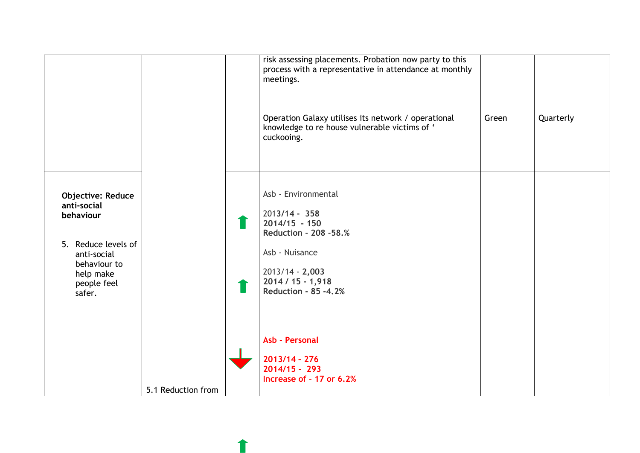|                                                                                                                                                  |                    | risk assessing placements. Probation now party to this<br>process with a representative in attendance at monthly<br>meetings.<br>Operation Galaxy utilises its network / operational<br>knowledge to re house vulnerable victims of '<br>cuckooing. | Green | Quarterly |
|--------------------------------------------------------------------------------------------------------------------------------------------------|--------------------|-----------------------------------------------------------------------------------------------------------------------------------------------------------------------------------------------------------------------------------------------------|-------|-----------|
| <b>Objective: Reduce</b><br>anti-social<br>behaviour<br>5. Reduce levels of<br>anti-social<br>behaviour to<br>help make<br>people feel<br>safer. |                    | Asb - Environmental<br>$2013/14 - 358$<br>$2014/15 - 150$<br><b>Reduction - 208 -58.%</b><br>Asb - Nuisance<br>$2013/14 - 2,003$<br>$2014 / 15 - 1,918$<br><b>Reduction - 85 -4.2%</b>                                                              |       |           |
|                                                                                                                                                  | 5.1 Reduction from | Asb - Personal<br>$2013/14 - 276$<br>$2014/15 - 293$<br>Increase of - 17 or 6.2%                                                                                                                                                                    |       |           |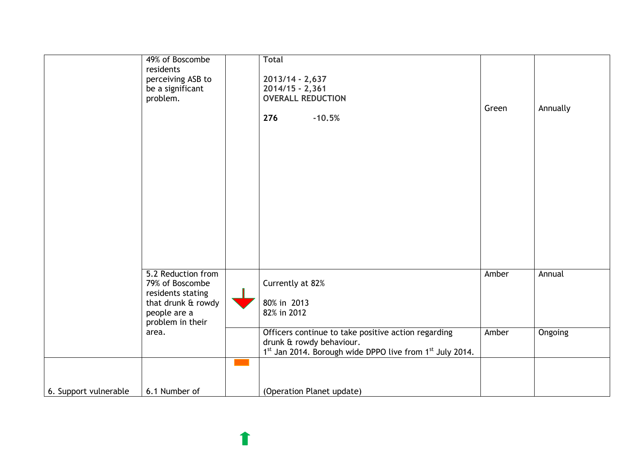|                       | 49% of Boscombe                      | <b>Total</b>                                             |       |          |
|-----------------------|--------------------------------------|----------------------------------------------------------|-------|----------|
|                       | residents                            |                                                          |       |          |
|                       | perceiving ASB to                    | 2013/14 - 2,637                                          |       |          |
|                       | be a significant                     | $2014/15 - 2,361$<br><b>OVERALL REDUCTION</b>            |       |          |
|                       | problem.                             |                                                          | Green | Annually |
|                       |                                      | 276<br>$-10.5%$                                          |       |          |
|                       |                                      |                                                          |       |          |
|                       |                                      |                                                          |       |          |
|                       |                                      |                                                          |       |          |
|                       |                                      |                                                          |       |          |
|                       |                                      |                                                          |       |          |
|                       |                                      |                                                          |       |          |
|                       |                                      |                                                          |       |          |
|                       |                                      |                                                          |       |          |
|                       |                                      |                                                          |       |          |
|                       |                                      |                                                          |       |          |
|                       |                                      |                                                          |       |          |
|                       |                                      |                                                          |       |          |
|                       |                                      |                                                          |       |          |
|                       |                                      |                                                          |       |          |
|                       | 5.2 Reduction from                   |                                                          | Amber | Annual   |
|                       | 79% of Boscombe<br>residents stating | Currently at 82%                                         |       |          |
|                       | that drunk & rowdy                   | 80% in 2013                                              |       |          |
|                       | people are a                         | 82% in 2012                                              |       |          |
|                       | problem in their                     |                                                          |       |          |
|                       | area.                                | Officers continue to take positive action regarding      | Amber | Ongoing  |
|                       |                                      | drunk & rowdy behaviour.                                 |       |          |
|                       |                                      | 1st Jan 2014. Borough wide DPPO live from 1st July 2014. |       |          |
|                       |                                      |                                                          |       |          |
|                       |                                      |                                                          |       |          |
| 6. Support vulnerable | 6.1 Number of                        | (Operation Planet update)                                |       |          |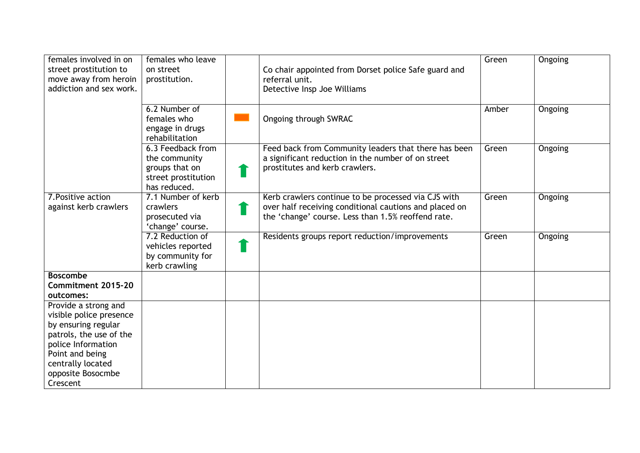| females involved in on<br>street prostitution to<br>move away from heroin<br>addiction and sex work. | females who leave<br>on street<br>prostitution.                                             | Co chair appointed from Dorset police Safe guard and<br>referral unit.<br>Detective Insp Joe Williams                                                               | Green | Ongoing |
|------------------------------------------------------------------------------------------------------|---------------------------------------------------------------------------------------------|---------------------------------------------------------------------------------------------------------------------------------------------------------------------|-------|---------|
|                                                                                                      | 6.2 Number of<br>females who<br>engage in drugs<br>rehabilitation                           | Ongoing through SWRAC                                                                                                                                               | Amber | Ongoing |
|                                                                                                      | 6.3 Feedback from<br>the community<br>groups that on<br>street prostitution<br>has reduced. | Feed back from Community leaders that there has been<br>a significant reduction in the number of on street<br>prostitutes and kerb crawlers.                        | Green | Ongoing |
| 7. Positive action<br>against kerb crawlers                                                          | 7.1 Number of kerb<br>crawlers<br>prosecuted via<br>'change' course.                        | Kerb crawlers continue to be processed via CJS with<br>over half receiving conditional cautions and placed on<br>the 'change' course. Less than 1.5% reoffend rate. | Green | Ongoing |
|                                                                                                      | 7.2 Reduction of<br>vehicles reported<br>by community for<br>kerb crawling                  | Residents groups report reduction/improvements                                                                                                                      | Green | Ongoing |
| <b>Boscombe</b>                                                                                      |                                                                                             |                                                                                                                                                                     |       |         |
| Commitment 2015-20<br>outcomes:                                                                      |                                                                                             |                                                                                                                                                                     |       |         |
| Provide a strong and                                                                                 |                                                                                             |                                                                                                                                                                     |       |         |
| visible police presence<br>by ensuring regular                                                       |                                                                                             |                                                                                                                                                                     |       |         |
| patrols, the use of the                                                                              |                                                                                             |                                                                                                                                                                     |       |         |
| police Information                                                                                   |                                                                                             |                                                                                                                                                                     |       |         |
| Point and being                                                                                      |                                                                                             |                                                                                                                                                                     |       |         |
| centrally located<br>opposite Bosocmbe                                                               |                                                                                             |                                                                                                                                                                     |       |         |
| Crescent                                                                                             |                                                                                             |                                                                                                                                                                     |       |         |